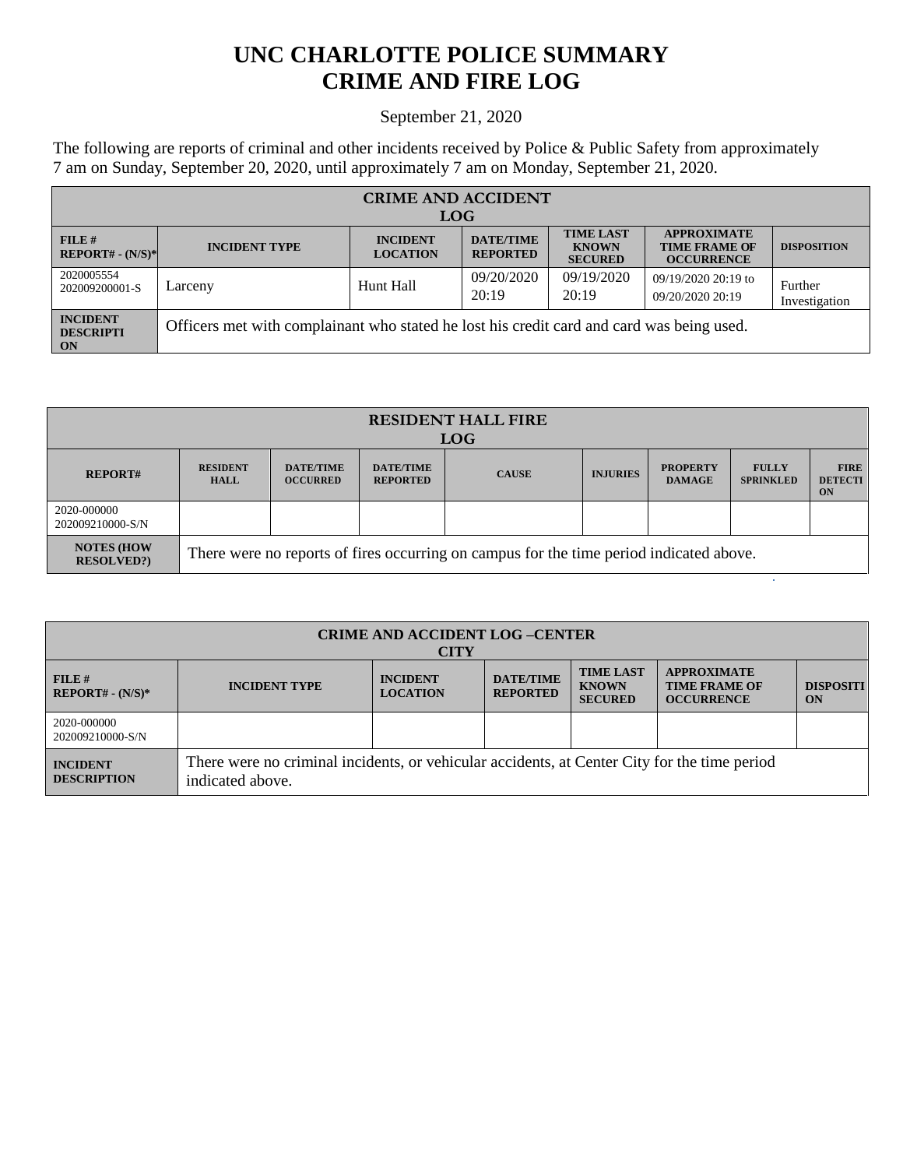## **UNC CHARLOTTE POLICE SUMMARY CRIME AND FIRE LOG**

## September 21, 2020

The following are reports of criminal and other incidents received by Police & Public Safety from approximately 7 am on Sunday, September 20, 2020, until approximately 7 am on Monday, September 21, 2020.

| <b>CRIME AND ACCIDENT</b>                 |                                                                                           |                                    |                                     |                                                    |                                                                 |                          |  |  |
|-------------------------------------------|-------------------------------------------------------------------------------------------|------------------------------------|-------------------------------------|----------------------------------------------------|-----------------------------------------------------------------|--------------------------|--|--|
| <b>LOG</b>                                |                                                                                           |                                    |                                     |                                                    |                                                                 |                          |  |  |
| $FILE$ #<br>$REPORT# - (N/S)*$            | <b>INCIDENT TYPE</b>                                                                      | <b>INCIDENT</b><br><b>LOCATION</b> | <b>DATE/TIME</b><br><b>REPORTED</b> | <b>TIME LAST</b><br><b>KNOWN</b><br><b>SECURED</b> | <b>APPROXIMATE</b><br><b>TIME FRAME OF</b><br><b>OCCURRENCE</b> | <b>DISPOSITION</b>       |  |  |
| 2020005554<br>202009200001-S              | Larceny                                                                                   | Hunt Hall                          | 09/20/2020<br>20:19                 | 09/19/2020<br>20:19                                | 09/19/2020 20:19 to<br>09/20/2020 20:19                         | Further<br>Investigation |  |  |
| <b>INCIDENT</b><br><b>DESCRIPTI</b><br>ON | Officers met with complainant who stated he lost his credit card and card was being used. |                                    |                                     |                                                    |                                                                 |                          |  |  |

| <b>RESIDENT HALL FIRE</b><br><b>LOG</b> |                                                                                         |                                     |                                     |              |                 |                                  |                                  |                                     |
|-----------------------------------------|-----------------------------------------------------------------------------------------|-------------------------------------|-------------------------------------|--------------|-----------------|----------------------------------|----------------------------------|-------------------------------------|
| <b>REPORT#</b>                          | <b>RESIDENT</b><br><b>HALL</b>                                                          | <b>DATE/TIME</b><br><b>OCCURRED</b> | <b>DATE/TIME</b><br><b>REPORTED</b> | <b>CAUSE</b> | <b>INJURIES</b> | <b>PROPERTY</b><br><b>DAMAGE</b> | <b>FULLY</b><br><b>SPRINKLED</b> | <b>FIRE</b><br><b>DETECTI</b><br>ON |
| 2020-000000<br>202009210000-S/N         |                                                                                         |                                     |                                     |              |                 |                                  |                                  |                                     |
| <b>NOTES (HOW</b><br><b>RESOLVED?)</b>  | There were no reports of fires occurring on campus for the time period indicated above. |                                     |                                     |              |                 |                                  |                                  |                                     |

| <b>CRIME AND ACCIDENT LOG-CENTER</b><br><b>CITY</b> |                                                                                                                  |                                    |                                     |                                                    |                                                                 |                        |  |  |
|-----------------------------------------------------|------------------------------------------------------------------------------------------------------------------|------------------------------------|-------------------------------------|----------------------------------------------------|-----------------------------------------------------------------|------------------------|--|--|
| $FILE$ #<br>$REPORT# - (N/S)*$                      | <b>INCIDENT TYPE</b>                                                                                             | <b>INCIDENT</b><br><b>LOCATION</b> | <b>DATE/TIME</b><br><b>REPORTED</b> | <b>TIME LAST</b><br><b>KNOWN</b><br><b>SECURED</b> | <b>APPROXIMATE</b><br><b>TIME FRAME OF</b><br><b>OCCURRENCE</b> | <b>DISPOSITI</b><br>ON |  |  |
| 2020-000000<br>202009210000-S/N                     |                                                                                                                  |                                    |                                     |                                                    |                                                                 |                        |  |  |
| <b>INCIDENT</b><br><b>DESCRIPTION</b>               | There were no criminal incidents, or vehicular accidents, at Center City for the time period<br>indicated above. |                                    |                                     |                                                    |                                                                 |                        |  |  |